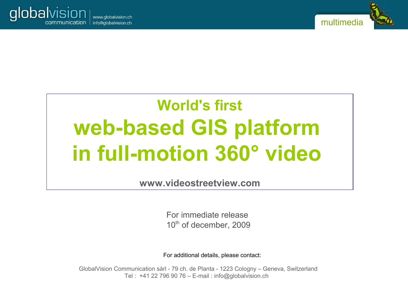



# **World's first web-based GIS platform in full-motion 360° video**

**www.videostreetview.com**

For immediate release  $10<sup>th</sup>$  of december, 2009

For additional details, please contact:

GlobalVision Communication sàrl - 79 ch. de Planta - 1223 Cologny – Geneva, Switzerland Tel : +41 22 796 90 76 – E-mail : info@globalvision.ch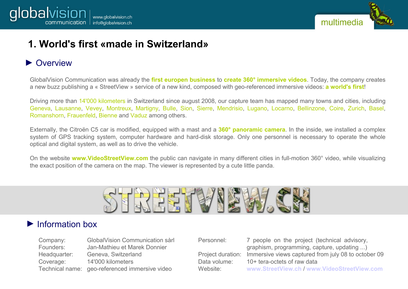

## **1. World's first «made in Switzerland»**

#### ▶ Overview

GlobalVision Communication was already the **first europen business** to **create 360° immersive videos**. Today, the company creates a new buzz publishing a « StreetView » service of a new kind, composed with geo-referenced immersive videos: **a world's first**!

Driving more than 14'000 kilometers in Switzerland since august 2008, our capture team has mapped many towns and cities, including Geneva, Lausanne, Vevey, Montreux, Martigny, Bulle, Sion, Sierre, Mendrisio, Lugano, Locarno, Bellinzone, Coire, Zurich, Basel, Romanshorn, Frauenfeld, Bienne and Vaduz among others.

Externally, the Citroën C5 car is modified, equipped with a mast and a **360° panoramic camera**. In the inside, we installed a complex system of GPS tracking system, computer hardware and hard-disk storage. Only one personnel is necessary to operate the whole optical and digital system, as well as to drive the vehicle.

On the website **www.VideoStreetView.com** the public can navigate in many different cities in full-motion 360° video, while visualizing the exact position of the camera on the map. The viewer is represented by a cute little panda.



#### ► Information box

| Company:     | GlobalVision Communication sàrl                |
|--------------|------------------------------------------------|
| Founders:    | Jan-Mathieu et Marek Donnier                   |
| Headquarter: | Geneva, Switzerland                            |
| Coverage:    | 14'000 kilometers                              |
|              | Technical name: geo-referenced immersive video |

Personnel: 7 people on the project (technical advisory, graphism, programming, capture, updating ...) Project duration: Immersive views captured from july 08 to october 09 Data volume: 10+ tera-octets of raw data Website: **[www.StreetView.ch](http://www.StreetView.ch/)** / **[www.VideoStreetView.com](http://www.VideoStreetView.com/)**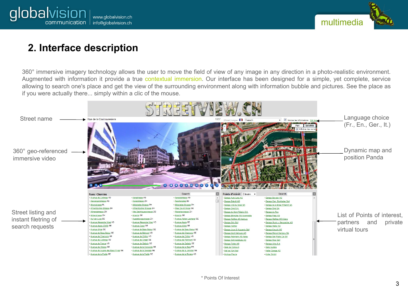



## **2. Interface description**

360° immersive imagery technology allows the user to move the field of view of any image in any direction in a photo-realistic environment. Augmented with information it provide a true contextual immersion. Our interface has been designed for a simple, yet complete, service allowing to search one's place and get the view of the surrounding environment along with information bubble and pictures. See the place as if you were actually there... simply within a clic of the mouse.

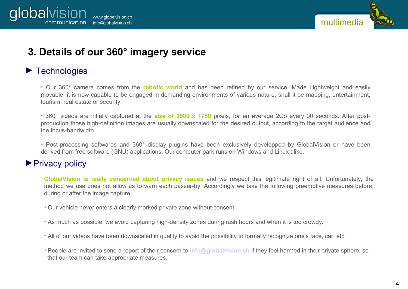



## **3. Details of our 360° imagery service**

#### ► Technologies

• Our 360° camera comes from the **robotic world** and has been refined by our service. Made Lightweight and easily movable, it is now capable to be engaged in demanding environments of various nature, shall it be mapping, entertainment, tourism, real estate or security.

• 360° videos are intially captured at the **size of 3500 x 1750** pixels, for an average 2Go every 90 seconds. After postproduction those high-definition images are usually downscaled for the desired output, according to the target audience and the focus-bandwidth.

• Post-processing softwares and 360° display plugins have been exclusively developped by GlobalVision or have been derived from free software (GNU) applications. Our computer park runs on Windows and Linux alike.

#### ▶ Privacy policy

**GlobalVision is really concerned about privacy issues** and we respect this legitimate right of all. Unfortunately, the method we use does not allow us to warn each passer-by. Accordingly we take the following preemptive measures before, during or after the image capture:

- Our vehicle never enters a clearly marked private zone without consent.
- As much as possible, we avoid capturing high-density zones during rush hours and when it is too crowdy.
- All of our videos have been downscaled in quality to avoid the possibility to formally recognize one's face, car, etc.
- People are invited to send a report of their concern to **[info@globalvision.ch](mailto:info@globalvision.ch)** if they feel harmed in their private sphere, so that our team can take appropriate measures.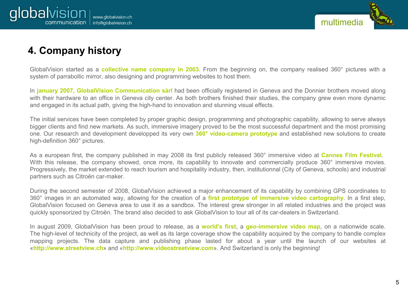

# **4. Company history**

GlobalVision started as a **collective name company in 2003**. From the beginning on, the company realised 360° pictures with a system of parrabollic mirror, also designing and programming websites to host them.

In **january 2007, GlobalVision Communication sàrl** had been officially registered in Geneva and the Donnier brothers moved along with their hardware to an office in Geneva city center. As both brothers finished their studies, the company grew even more dynamic and engaged in its actual path, giving the high-hand to innovation and stunning visual effects.

The initial services have been completed by proper graphic design, programming and photographic capability, allowing to serve always bigger clients and find new markets. As such, immersive imagery proved to be the most successful department and the most promising one. Our research and development developped its very own **360° video-camera prototype** and established new solutions to create high-definition 360° pictures.

As a european first, the company published in may 2008 its first publicly released 360° immersive video at **Cannes Film Festival**. With this release, the company showed, once more, its capability to innovate and commercially produce 360° immersive movies. Progressively, the market extended to reach tourism and hospitality industry, then, institutionnal (City of Geneva, schools) and industrial partners such as Citroën car-maker.

During the second semester of 2008, GlobalVision achieved a major enhancement of its capability by combining GPS coordinates to 360° images in an automated way, allowing for the creation of a **first prototype of immersive video cartography**. In a first step, GlobalVision focused on Geneva area to use it as a sandbox. The interest grew stronger in all related industries and the project was quickly sponsorized by Citroën. The brand also decided to ask GlobalVision to tour all of its car-dealers in Switzerland.

In august 2009, GlobalVision has been proud to release, as a **world's first**, a **geo-immersive video map**, on a nationwide scale. The high-level of technicity of the project, as well as its large coverage show the capability acquired by the company to handle complex mapping projects. The data capture and publishing phase lasted for about a year until the launch of our websites at «**http://www.streetview.ch**» and «**http://www.videostreetview.com**». And Switzerland is only the beginning!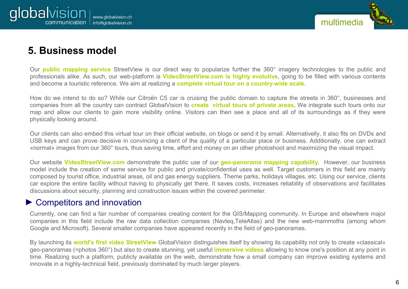

## **5. Business model**

Our **public mapping service** StreetView is our direct way to popularize further the 360° imagery technologies to the public and professionals alike. As such, our web-platform is **VideoStreetView.com is highly evolutive**, going to be filled with various contents and become a touristic reference. We aim at realizing a **complete virtual tour on a country-wide scale**.

How do we intend to do so? While our Citroën C5 car is cruising the public domain to capture the streets in 360°, businesses and companies from all the country can contract GlobalVision to **create virtual tours of private areas**. We integrate such tours onto our map and allow our clients to gain more visibility online. Visitors can then see a place and all of its surroundings as if they were physically looking around.

Our clients can also embed this virtual tour on their official website, on blogs or send it by email. Alternativelly, it also fits on DVDs and USB keys and can prove decisive in convincing a client of the quality of a particular place or business. Additionally, one can extract «normal» images from our 360° tours, thus saving time, effort and money on an other photoshoot and maximizing the visual impact.

Our website **VideoStreetView.com** demonstrate the public use of our **geo-panorama mapping capability**. However, our business model include the creation of same service for public and private/confidential uses as well. Target customers in this field are mainly composed by tourist office, industrial areas, oil and gas energy suppliers. Theme parks, holidays villages, etc. Using our service, clients car explore the entire facility without having to physically get there. It saves costs, increases reliability of observations and facilitates discussions about security, planning and construction issues within the covered perimeter.

#### ► Competitors and innovation

Currently, one can find a fair number of companies creating content for the GIS/Mapping community. In Europe and elsewhere major companies in this field include the raw data collection companies (Navteq,TeleAtlas) and the new web-mammoths (among whom Google and Microsoft). Several smaller companies have appeared recently in the field of geo-panoramas.

By launching its **world's first video StreetView** GlobalVision distinguishes itself by showing its capability not only to create «classical» geo-panoramas (=photos 360°) but also to create stunning, yet useful **immersive videos** allowing to know one's position at any point in time. Realizing such a platform, publicly available on the web, demonstrate how a small company can improve existing systems and innovate in a highly-technical field, previously dominated by much larger players.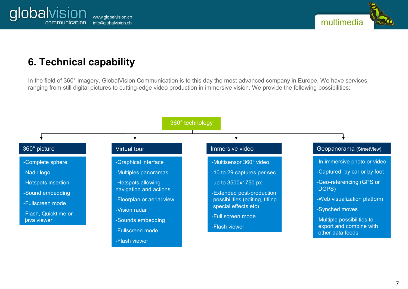



## **6. Technical capability**

In the field of 360° imagery, GlobalVision Communication is to this day the most advanced company in Europe. We have services ranging from still digital pictures to cutting-edge video production in immersive vision. We provide the following possibilities:

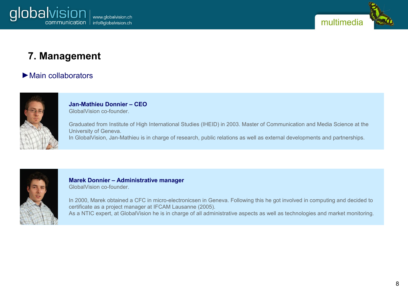



### **7. Management**

#### ►Main collaborators



**Jan-Mathieu Donnier – CEO**  GlobalVision co-founder.

Graduated from Institute of High International Studies (IHEID) in 2003. Master of Communication and Media Science at the University of Geneva. In GlobalVision, Jan-Mathieu is in charge of research, public relations as well as external developments and partnerships.



**Marek Donnier – Administrative manager** GlobalVision co-founder.

In 2000, Marek obtained a CFC in micro-electronicsen in Geneva. Following this he got involved in computing and decided to certificate as a project manager at IFCAM Lausanne (2005). As a NTIC expert, at GlobalVision he is in charge of all administrative aspects as well as technologies and market monitoring.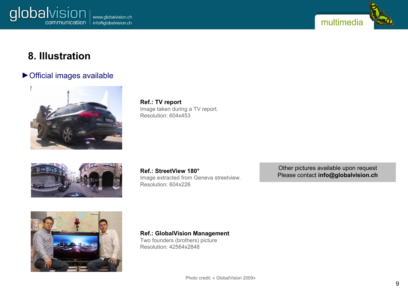



## **8. Illustration**

#### ►Official images available



**Ref.: TV report** Image taken during a TV report. Resolution: 604x453



**Ref.: StreetView 180°** Image extracted from Geneva streetview. Resolution: 604x226

Other pictures available upon request Please contact **[info@globalvision.ch](mailto:info@globalvision.ch)**



**Ref.: GlobalVision Management**

Two founders (brothers) picture Resolution: 42564x2848